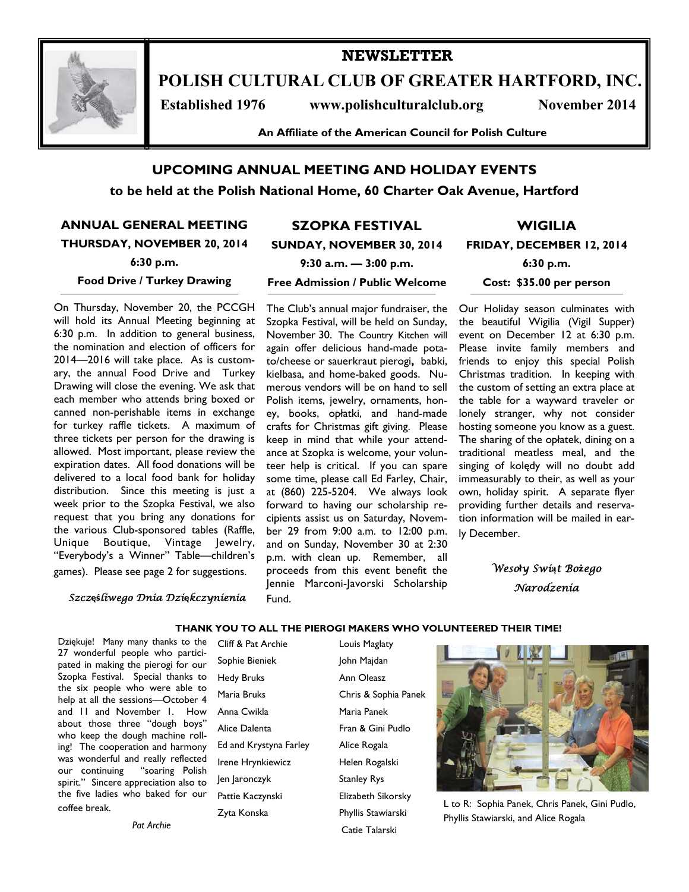

# **POLISH CULTURAL CLUB OF GREATER HARTFORD, INC.**

**NEWSLETTER** 

Established 1976 www.polishculturalclub.org November 2014

**An Affiliate of the American Council for Polish Culture** 

## **UPCOMING ANNUAL MEETING AND HOLIDAY EVENTS**

**to be held at the Polish National Home, 60 Charter Oak Avenue, Hartford** 

**ANNUAL GENERAL MEETING THURSDAY, NOVEMBER 20, 2014 6:30 p.m.** 

# **SUNDAY, NOVEMBER 30, 2014**

**WIGILIA** 

#### **Food Drive / Turkey Drawing**

On Thursday, November 20, the PCCGH will hold its Annual Meeting beginning at 6:30 p.m. In addition to general business, the nomination and election of officers for 2014—2016 will take place. As is customary, the annual Food Drive and Turkey Drawing will close the evening. We ask that each member who attends bring boxed or canned non-perishable items in exchange for turkey raffle tickets. A maximum of three tickets per person for the drawing is allowed. Most important, please review the expiration dates. All food donations will be delivered to a local food bank for holiday distribution. Since this meeting is just a week prior to the Szopka Festival, we also request that you bring any donations for the various Club-sponsored tables (Raffle, Unique Boutique, Vintage Jewelry, "Everybody's a Winner" Table—children's games). Please see page 2 for suggestions.

**9:30 a.m. — 3:00 p.m.** 

**SZOPKA FESTIVAL** 

#### **Free Admission / Public Welcome**

The Club's annual major fundraiser, the Szopka Festival, will be held on Sunday, November 30. The Country Kitchen will again offer delicious hand-made potato/cheese or sauerkraut pierogi**,** babki, kielbasa, and home-baked goods. Numerous vendors will be on hand to sell Polish items, jewelry, ornaments, honey, books, opłatki, and hand-made crafts for Christmas gift giving. Please keep in mind that while your attendance at Szopka is welcome, your volunteer help is critical. If you can spare some time, please call Ed Farley, Chair, at (860) 225-5204. We always look forward to having our scholarship recipients assist us on Saturday, November 29 from 9:00 a.m. to 12:00 p.m. and on Sunday, November 30 at 2:30 p.m. with clean up. Remember, all proceeds from this event benefit the Jennie Marconi-Javorski Scholarship Fund.

**FRIDAY, DECEMBER 12, 2014** 

**6:30 p.m.** 

**Cost: \$35.00 per person** 

Our Holiday season culminates with the beautiful Wigilia (Vigil Supper) event on December 12 at 6:30 p.m. Please invite family members and friends to enjoy this special Polish Christmas tradition. In keeping with the custom of setting an extra place at the table for a wayward traveler or lonely stranger, why not consider hosting someone you know as a guest. The sharing of the opłatek, dining on a traditional meatless meal, and the singing of kolędy will no doubt add immeasurably to their, as well as your own, holiday spirit. A separate flyer providing further details and reservation information will be mailed in early December.

> *Weso***ł***y Swi***ą***t Bo***ż***ego Narodzenia*

#### *Szcz***ęś***liwego Dnia Dzi***ę***kczynienia*

Dziękuje! Many many thanks to the 27 wonderful people who participated in making the pierogi for our Szopka Festival. Special thanks to the six people who were able to help at all the sessions—October 4 and 11 and November 1. How about those three "dough boys" who keep the dough machine rolling! The cooperation and harmony was wonderful and really reflected<br>our continuing "soaring Polish "soaring Polish spirit." Sincere appreciation also to the five ladies who baked for our coffee break.

*Pat Archie*

Cliff & Pat Archie Louis Maglaty Sophie Bieniek **John Majdan** Hedy Bruks **Ann Oleasz** Maria Bruks Chris & Sophia Panek Anna Cwikla Maria Panek Alice Dalenta Fran & Gini Pudlo Ed and Krystyna Farley Alice Rogala Irene Hrynkiewicz **Helen Rogalski** Jen Jaronczyk Stanley Rys Pattie Kaczynski **Elizabeth Sikorsky** Zyta Konska Phyllis Stawiarski

Catie Talarski

**THANK YOU TO ALL THE PIEROGI MAKERS WHO VOLUNTEERED THEIR TIME!** 



L to R: Sophia Panek, Chris Panek, Gini Pudlo, Phyllis Stawiarski, and Alice Rogala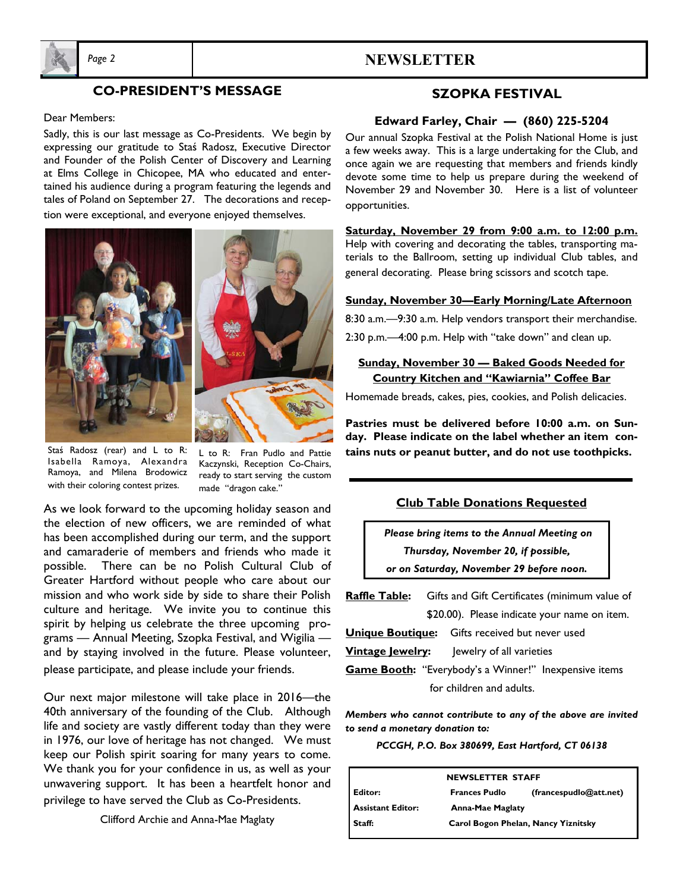

# *Page 2* **NEWSLETTER**

# **CO-PRESIDENT'S MESSAGE**

# Dear Members:

Sadly, this is our last message as Co-Presidents. We begin by expressing our gratitude to Staś Radosz, Executive Director and Founder of the Polish Center of Discovery and Learning at Elms College in Chicopee, MA who educated and entertained his audience during a program featuring the legends and tales of Poland on September 27. The decorations and reception were exceptional, and everyone enjoyed themselves.



Staś Radosz (rear) and L to R: Isabella Ramoya, Alexandra Ramoya, and Milena Brodowicz with their coloring contest prizes.

L to R: Fran Pudlo and Pattie Kaczynski, Reception Co-Chairs, ready to start serving the custom made "dragon cake."

As we look forward to the upcoming holiday season and the election of new officers, we are reminded of what has been accomplished during our term, and the support and camaraderie of members and friends who made it possible. There can be no Polish Cultural Club of Greater Hartford without people who care about our mission and who work side by side to share their Polish culture and heritage. We invite you to continue this spirit by helping us celebrate the three upcoming programs — Annual Meeting, Szopka Festival, and Wigilia and by staying involved in the future. Please volunteer, please participate, and please include your friends.

Our next major milestone will take place in 2016—the 40th anniversary of the founding of the Club. Although life and society are vastly different today than they were in 1976, our love of heritage has not changed. We must keep our Polish spirit soaring for many years to come. We thank you for your confidence in us, as well as your unwavering support. It has been a heartfelt honor and privilege to have served the Club as Co-Presidents.

Clifford Archie and Anna-Mae Maglaty

# **SZOPKA FESTIVAL**

#### **Edward Farley, Chair — (860) 225-5204**

Our annual Szopka Festival at the Polish National Home is just a few weeks away. This is a large undertaking for the Club, and once again we are requesting that members and friends kindly devote some time to help us prepare during the weekend of November 29 and November 30. Here is a list of volunteer opportunities.

**Saturday, November 29 from 9:00 a.m. to 12:00 p.m.** Help with covering and decorating the tables, transporting materials to the Ballroom, setting up individual Club tables, and general decorating. Please bring scissors and scotch tape.

#### **Sunday, November 30—Early Morning/Late Afternoon**

8:30 a.m.—9:30 a.m. Help vendors transport their merchandise.

2:30 p.m.—4:00 p.m. Help with "take down" and clean up.

### **Sunday, November 30 — Baked Goods Needed for Country Kitchen and "Kawiarnia" Coffee Bar**

Homemade breads, cakes, pies, cookies, and Polish delicacies.

**Pastries must be delivered before 10:00 a.m. on Sunday. Please indicate on the label whether an item contains nuts or peanut butter, and do not use toothpicks.** 

#### **Club Table Donations Requested**

 *Please bring items to the Annual Meeting on Thursday, November 20, if possible, or on Saturday, November 29 before noon.* 

**Raffle Table:** Gifts and Gift Certificates (minimum value of \$20.00). Please indicate your name on item. **Unique Boutique:** Gifts received but never used **Vintage Jewelry:** Jewelry of all varieties **Game Booth:** "Everybody's a Winner!" Inexpensive items for children and adults.

*Members who cannot contribute to any of the above are invited to send a monetary donation to:* 

*PCCGH, P.O. Box 380699, East Hartford, CT 06138* 

| <b>NEWSLETTER STAFF</b>  |                                     |                        |
|--------------------------|-------------------------------------|------------------------|
| Editor:                  | <b>Frances Pudlo</b>                | (francespudlo@att.net) |
| <b>Assistant Editor:</b> | <b>Anna-Mae Maglaty</b>             |                        |
| Staff:                   | Carol Bogon Phelan, Nancy Yiznitsky |                        |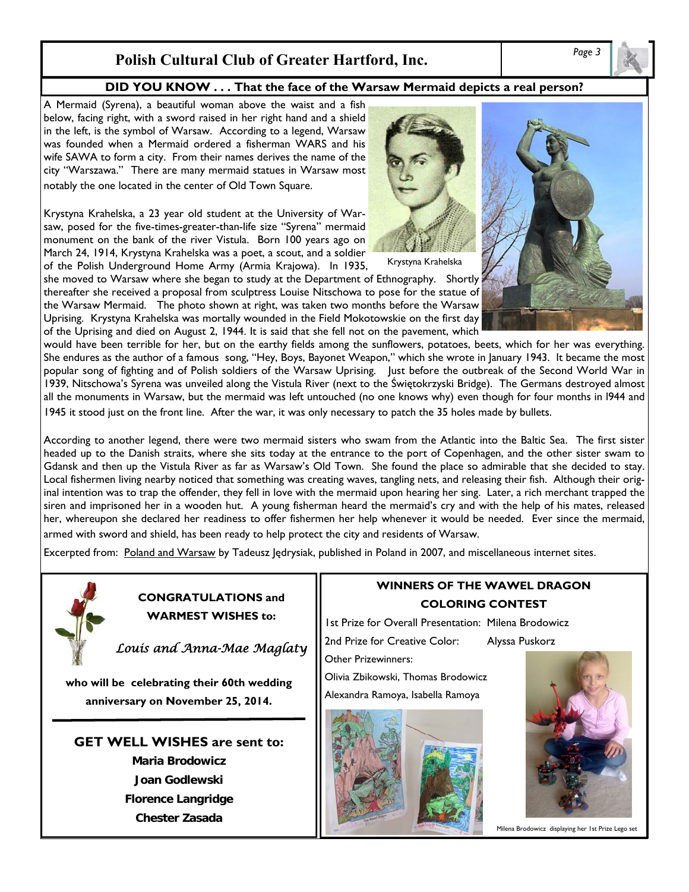# *Page 3* **Polish Cultural Club of Greater Hartford, Inc.**

### **DID YOU KNOW . . . That the face of the Warsaw Mermaid depicts a real person?**

A Mermaid (Syrena), a beautiful woman above the waist and a fish below, facing right, with a sword raised in her right hand and a shield in the left, is the symbol of Warsaw. According to a legend, Warsaw was founded when a Mermaid ordered a fisherman WARS and his wife SAWA to form a city. From their names derives the name of the city "Warszawa." There are many mermaid statues in Warsaw most notably the one located in the center of Old Town Square.

Krystyna Krahelska, a 23 year old student at the University of Warsaw, posed for the five-times-greater-than-life size "Syrena" mermaid monument on the bank of the river Vistula. Born 100 years ago on March 24, 1914, Krystyna Krahelska was a poet, a scout, and a soldier of the Polish Underground Home Army (Armia Krajowa). In 1935,

she moved to Warsaw where she began to study at the Department of Ethnography. Shortly thereafter she received a proposal from sculptress Louise Nitschowa to pose for the statue of the Warsaw Mermaid. The photo shown at right, was taken two months before the Warsaw Uprising. Krystyna Krahelska was mortally wounded in the Field Mokotowskie on the first day of the Uprising and died on August 2, 1944. It is said that she fell not on the pavement, which

would have been terrible for her, but on the earthy fields among the sunflowers, potatoes, beets, which for her was everything. She endures as the author of a famous song, "Hey, Boys, Bayonet Weapon," which she wrote in January 1943. It became the most popular song of fighting and of Polish soldiers of the Warsaw Uprising. Just before the outbreak of the Second World War in 1939, Nitschowa's Syrena was unveiled along the Vistula River (next to the Świętokrzyski Bridge). The Germans destroyed almost all the monuments in Warsaw, but the mermaid was left untouched (no one knows why) even though for four months in l944 and 1945 it stood just on the front line. After the war, it was only necessary to patch the 35 holes made by bullets.

According to another legend, there were two mermaid sisters who swam from the Atlantic into the Baltic Sea. The first sister headed up to the Danish straits, where she sits today at the entrance to the port of Copenhagen, and the other sister swam to Gdansk and then up the Vistula River as far as Warsaw's Old Town. She found the place so admirable that she decided to stay. Local fishermen living nearby noticed that something was creating waves, tangling nets, and releasing their fish. Although their original intention was to trap the offender, they fell in love with the mermaid upon hearing her sing. Later, a rich merchant trapped the siren and imprisoned her in a wooden hut. A young fisherman heard the mermaid's cry and with the help of his mates, released her, whereupon she declared her readiness to offer fishermen her help whenever it would be needed. Ever since the mermaid, armed with sword and shield, has been ready to help protect the city and residents of Warsaw.

Excerpted from: Poland and Warsaw by Tadeusz Jędrysiak, published in Poland in 2007, and miscellaneous internet sites.



**CONGRATULATIONS and WARMEST WISHES to:** 

*Louis and Anna-Mae Maglaty* 

**who will be celebrating their 60th wedding anniversary on November 25, 2014.** 

**GET WELL WISHES are sent to: Maria Brodowicz Joan Godlewski Florence Langridge** 

**Chester Zasada** 







Krystyna Krahelska